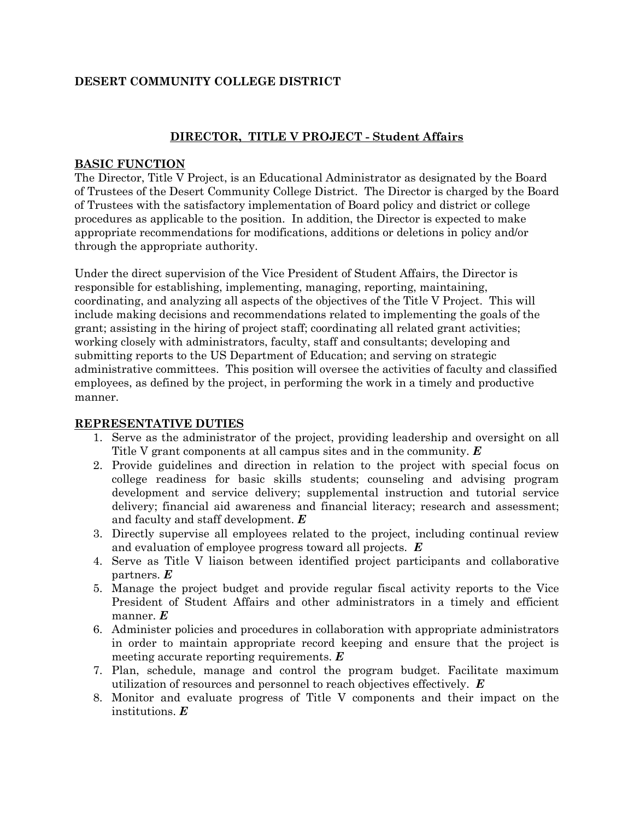### **DESERT COMMUNITY COLLEGE DISTRICT**

### **DIRECTOR, TITLE V PROJECT - Student Affairs**

### **BASIC FUNCTION**

The Director, Title V Project, is an Educational Administrator as designated by the Board of Trustees of the Desert Community College District. The Director is charged by the Board of Trustees with the satisfactory implementation of Board policy and district or college procedures as applicable to the position. In addition, the Director is expected to make appropriate recommendations for modifications, additions or deletions in policy and/or through the appropriate authority.

Under the direct supervision of the Vice President of Student Affairs, the Director is responsible for establishing, implementing, managing, reporting, maintaining, coordinating, and analyzing all aspects of the objectives of the Title V Project. This will include making decisions and recommendations related to implementing the goals of the grant; assisting in the hiring of project staff; coordinating all related grant activities; working closely with administrators, faculty, staff and consultants; developing and submitting reports to the US Department of Education; and serving on strategic administrative committees. This position will oversee the activities of faculty and classified employees, as defined by the project, in performing the work in a timely and productive manner.

### **REPRESENTATIVE DUTIES**

- 1. Serve as the administrator of the project, providing leadership and oversight on all Title V grant components at all campus sites and in the community. *E*
- 2. Provide guidelines and direction in relation to the project with special focus on college readiness for basic skills students; counseling and advising program development and service delivery; supplemental instruction and tutorial service delivery; financial aid awareness and financial literacy; research and assessment; and faculty and staff development. *E*
- 3. Directly supervise all employees related to the project, including continual review and evaluation of employee progress toward all projects. *E*
- 4. Serve as Title V liaison between identified project participants and collaborative partners. *E*
- 5. Manage the project budget and provide regular fiscal activity reports to the Vice President of Student Affairs and other administrators in a timely and efficient manner. *E*
- 6. Administer policies and procedures in collaboration with appropriate administrators in order to maintain appropriate record keeping and ensure that the project is meeting accurate reporting requirements. *E*
- 7. Plan, schedule, manage and control the program budget. Facilitate maximum utilization of resources and personnel to reach objectives effectively. *E*
- 8. Monitor and evaluate progress of Title V components and their impact on the institutions. *E*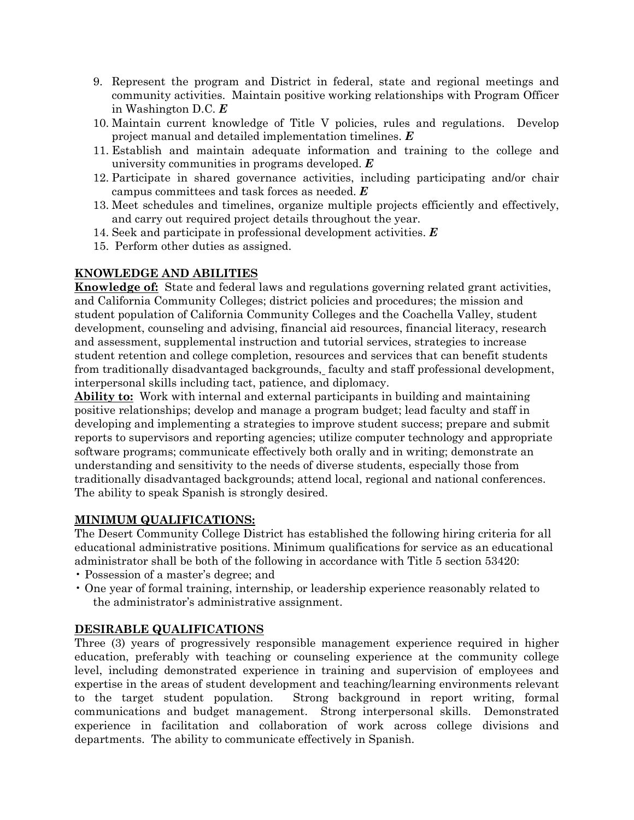- 9. Represent the program and District in federal, state and regional meetings and community activities. Maintain positive working relationships with Program Officer in Washington D.C. *E*
- 10. Maintain current knowledge of Title V policies, rules and regulations. Develop project manual and detailed implementation timelines. *E*
- 11. Establish and maintain adequate information and training to the college and university communities in programs developed. *E*
- 12. Participate in shared governance activities, including participating and/or chair campus committees and task forces as needed. *E*
- 13. Meet schedules and timelines, organize multiple projects efficiently and effectively, and carry out required project details throughout the year.
- 14. Seek and participate in professional development activities. *E*
- 15. Perform other duties as assigned.

## **KNOWLEDGE AND ABILITIES**

**Knowledge of:** State and federal laws and regulations governing related grant activities, and California Community Colleges; district policies and procedures; the mission and student population of California Community Colleges and the Coachella Valley, student development, counseling and advising, financial aid resources, financial literacy, research and assessment, supplemental instruction and tutorial services, strategies to increase student retention and college completion, resources and services that can benefit students from traditionally disadvantaged backgrounds, faculty and staff professional development, interpersonal skills including tact, patience, and diplomacy.

**Ability to:** Work with internal and external participants in building and maintaining positive relationships; develop and manage a program budget; lead faculty and staff in developing and implementing a strategies to improve student success; prepare and submit reports to supervisors and reporting agencies; utilize computer technology and appropriate software programs; communicate effectively both orally and in writing; demonstrate an understanding and sensitivity to the needs of diverse students, especially those from traditionally disadvantaged backgrounds; attend local, regional and national conferences. The ability to speak Spanish is strongly desired.

### **MINIMUM QUALIFICATIONS:**

The Desert Community College District has established the following hiring criteria for all educational administrative positions. Minimum qualifications for service as an educational administrator shall be both of the following in accordance with Title 5 section 53420:

- Possession of a master's degree; and
- One year of formal training, internship, or leadership experience reasonably related to the administrator's administrative assignment.

## **DESIRABLE QUALIFICATIONS**

Three (3) years of progressively responsible management experience required in higher education, preferably with teaching or counseling experience at the community college level, including demonstrated experience in training and supervision of employees and expertise in the areas of student development and teaching/learning environments relevant to the target student population. Strong background in report writing, formal communications and budget management. Strong interpersonal skills. Demonstrated experience in facilitation and collaboration of work across college divisions and departments. The ability to communicate effectively in Spanish.